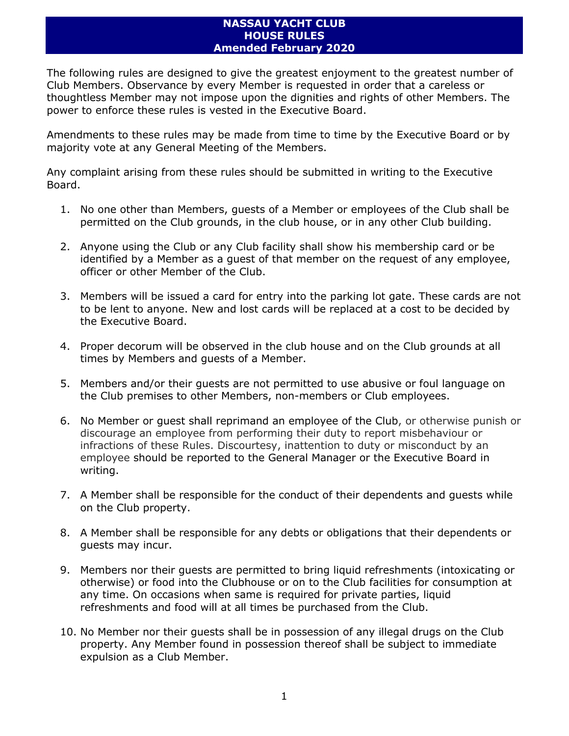## **NASSAU YACHT CLUB HOUSE RULES Amended February 2020**

The following rules are designed to give the greatest enjoyment to the greatest number of Club Members. Observance by every Member is requested in order that a careless or thoughtless Member may not impose upon the dignities and rights of other Members. The power to enforce these rules is vested in the Executive Board.

Amendments to these rules may be made from time to time by the Executive Board or by majority vote at any General Meeting of the Members.

Any complaint arising from these rules should be submitted in writing to the Executive Board.

- 1. No one other than Members, guests of a Member or employees of the Club shall be permitted on the Club grounds, in the club house, or in any other Club building.
- 2. Anyone using the Club or any Club facility shall show his membership card or be identified by a Member as a guest of that member on the request of any employee, officer or other Member of the Club.
- 3. Members will be issued a card for entry into the parking lot gate. These cards are not to be lent to anyone. New and lost cards will be replaced at a cost to be decided by the Executive Board.
- 4. Proper decorum will be observed in the club house and on the Club grounds at all times by Members and guests of a Member.
- 5. Members and/or their guests are not permitted to use abusive or foul language on the Club premises to other Members, non-members or Club employees.
- 6. No Member or guest shall reprimand an employee of the Club, or otherwise punish or discourage an employee from performing their duty to report misbehaviour or infractions of these Rules. Discourtesy, inattention to duty or misconduct by an employee should be reported to the General Manager or the Executive Board in writing.
- 7. A Member shall be responsible for the conduct of their dependents and guests while on the Club property.
- 8. A Member shall be responsible for any debts or obligations that their dependents or guests may incur.
- 9. Members nor their guests are permitted to bring liquid refreshments (intoxicating or otherwise) or food into the Clubhouse or on to the Club facilities for consumption at any time. On occasions when same is required for private parties, liquid refreshments and food will at all times be purchased from the Club.
- 10. No Member nor their guests shall be in possession of any illegal drugs on the Club property. Any Member found in possession thereof shall be subject to immediate expulsion as a Club Member.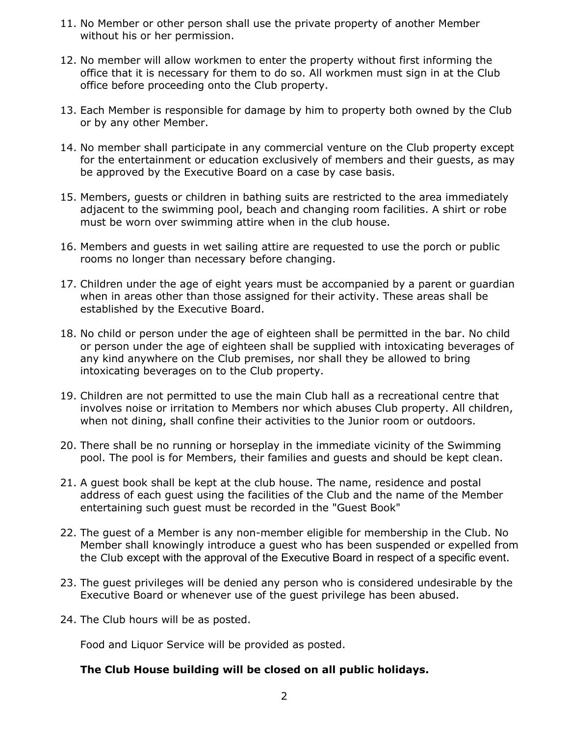- 11. No Member or other person shall use the private property of another Member without his or her permission.
- 12. No member will allow workmen to enter the property without first informing the office that it is necessary for them to do so. All workmen must sign in at the Club office before proceeding onto the Club property.
- 13. Each Member is responsible for damage by him to property both owned by the Club or by any other Member.
- 14. No member shall participate in any commercial venture on the Club property except for the entertainment or education exclusively of members and their guests, as may be approved by the Executive Board on a case by case basis.
- 15. Members, guests or children in bathing suits are restricted to the area immediately adjacent to the swimming pool, beach and changing room facilities. A shirt or robe must be worn over swimming attire when in the club house.
- 16. Members and guests in wet sailing attire are requested to use the porch or public rooms no longer than necessary before changing.
- 17. Children under the age of eight years must be accompanied by a parent or guardian when in areas other than those assigned for their activity. These areas shall be established by the Executive Board.
- 18. No child or person under the age of eighteen shall be permitted in the bar. No child or person under the age of eighteen shall be supplied with intoxicating beverages of any kind anywhere on the Club premises, nor shall they be allowed to bring intoxicating beverages on to the Club property.
- 19. Children are not permitted to use the main Club hall as a recreational centre that involves noise or irritation to Members nor which abuses Club property. All children, when not dining, shall confine their activities to the Junior room or outdoors.
- 20. There shall be no running or horseplay in the immediate vicinity of the Swimming pool. The pool is for Members, their families and guests and should be kept clean.
- 21. A guest book shall be kept at the club house. The name, residence and postal address of each guest using the facilities of the Club and the name of the Member entertaining such guest must be recorded in the "Guest Book"
- 22. The guest of a Member is any non-member eligible for membership in the Club. No Member shall knowingly introduce a guest who has been suspended or expelled from the Club except with the approval of the Executive Board in respect of a specific event.
- 23. The guest privileges will be denied any person who is considered undesirable by the Executive Board or whenever use of the guest privilege has been abused.
- 24. The Club hours will be as posted.

Food and Liquor Service will be provided as posted.

## **The Club House building will be closed on all public holidays.**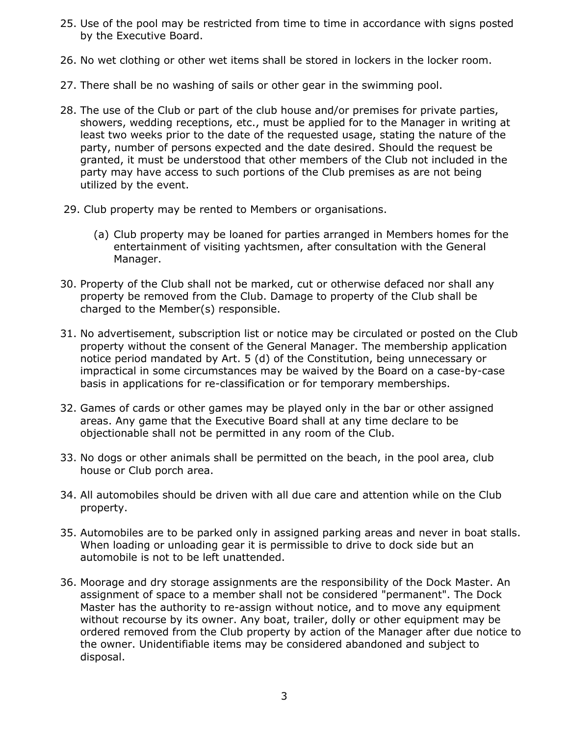- 25. Use of the pool may be restricted from time to time in accordance with signs posted by the Executive Board.
- 26. No wet clothing or other wet items shall be stored in lockers in the locker room.
- 27. There shall be no washing of sails or other gear in the swimming pool.
- 28. The use of the Club or part of the club house and/or premises for private parties, showers, wedding receptions, etc., must be applied for to the Manager in writing at least two weeks prior to the date of the requested usage, stating the nature of the party, number of persons expected and the date desired. Should the request be granted, it must be understood that other members of the Club not included in the party may have access to such portions of the Club premises as are not being utilized by the event.
- 29. Club property may be rented to Members or organisations.
	- (a) Club property may be loaned for parties arranged in Members homes for the entertainment of visiting yachtsmen, after consultation with the General Manager.
- 30. Property of the Club shall not be marked, cut or otherwise defaced nor shall any property be removed from the Club. Damage to property of the Club shall be charged to the Member(s) responsible.
- 31. No advertisement, subscription list or notice may be circulated or posted on the Club property without the consent of the General Manager. The membership application notice period mandated by Art. 5 (d) of the Constitution, being unnecessary or impractical in some circumstances may be waived by the Board on a case-by-case basis in applications for re-classification or for temporary memberships.
- 32. Games of cards or other games may be played only in the bar or other assigned areas. Any game that the Executive Board shall at any time declare to be objectionable shall not be permitted in any room of the Club.
- 33. No dogs or other animals shall be permitted on the beach, in the pool area, club house or Club porch area.
- 34. All automobiles should be driven with all due care and attention while on the Club property.
- 35. Automobiles are to be parked only in assigned parking areas and never in boat stalls. When loading or unloading gear it is permissible to drive to dock side but an automobile is not to be left unattended.
- 36. Moorage and dry storage assignments are the responsibility of the Dock Master. An assignment of space to a member shall not be considered "permanent". The Dock Master has the authority to re-assign without notice, and to move any equipment without recourse by its owner. Any boat, trailer, dolly or other equipment may be ordered removed from the Club property by action of the Manager after due notice to the owner. Unidentifiable items may be considered abandoned and subject to disposal.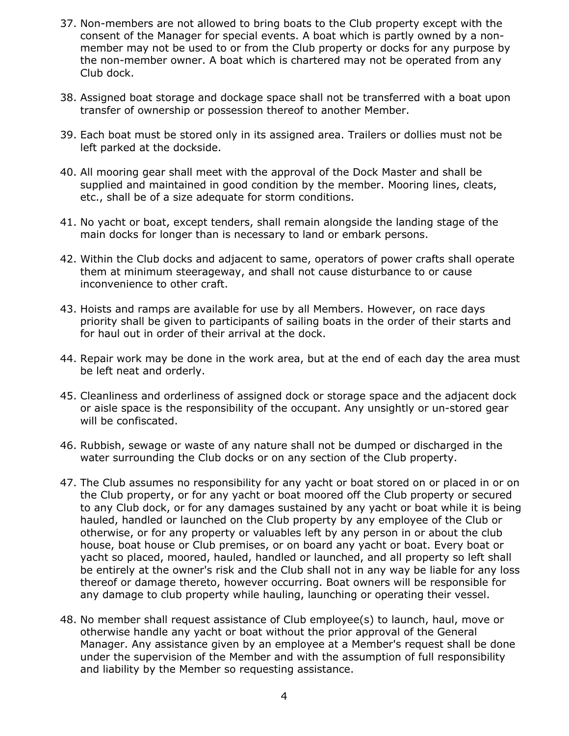- 37. Non-members are not allowed to bring boats to the Club property except with the consent of the Manager for special events. A boat which is partly owned by a nonmember may not be used to or from the Club property or docks for any purpose by the non-member owner. A boat which is chartered may not be operated from any Club dock.
- 38. Assigned boat storage and dockage space shall not be transferred with a boat upon transfer of ownership or possession thereof to another Member.
- 39. Each boat must be stored only in its assigned area. Trailers or dollies must not be left parked at the dockside.
- 40. All mooring gear shall meet with the approval of the Dock Master and shall be supplied and maintained in good condition by the member. Mooring lines, cleats, etc., shall be of a size adequate for storm conditions.
- 41. No yacht or boat, except tenders, shall remain alongside the landing stage of the main docks for longer than is necessary to land or embark persons.
- 42. Within the Club docks and adjacent to same, operators of power crafts shall operate them at minimum steerageway, and shall not cause disturbance to or cause inconvenience to other craft.
- 43. Hoists and ramps are available for use by all Members. However, on race days priority shall be given to participants of sailing boats in the order of their starts and for haul out in order of their arrival at the dock.
- 44. Repair work may be done in the work area, but at the end of each day the area must be left neat and orderly.
- 45. Cleanliness and orderliness of assigned dock or storage space and the adjacent dock or aisle space is the responsibility of the occupant. Any unsightly or un-stored gear will be confiscated.
- 46. Rubbish, sewage or waste of any nature shall not be dumped or discharged in the water surrounding the Club docks or on any section of the Club property.
- 47. The Club assumes no responsibility for any yacht or boat stored on or placed in or on the Club property, or for any yacht or boat moored off the Club property or secured to any Club dock, or for any damages sustained by any yacht or boat while it is being hauled, handled or launched on the Club property by any employee of the Club or otherwise, or for any property or valuables left by any person in or about the club house, boat house or Club premises, or on board any yacht or boat. Every boat or yacht so placed, moored, hauled, handled or launched, and all property so left shall be entirely at the owner's risk and the Club shall not in any way be liable for any loss thereof or damage thereto, however occurring. Boat owners will be responsible for any damage to club property while hauling, launching or operating their vessel.
- 48. No member shall request assistance of Club employee(s) to launch, haul, move or otherwise handle any yacht or boat without the prior approval of the General Manager. Any assistance given by an employee at a Member's request shall be done under the supervision of the Member and with the assumption of full responsibility and liability by the Member so requesting assistance.